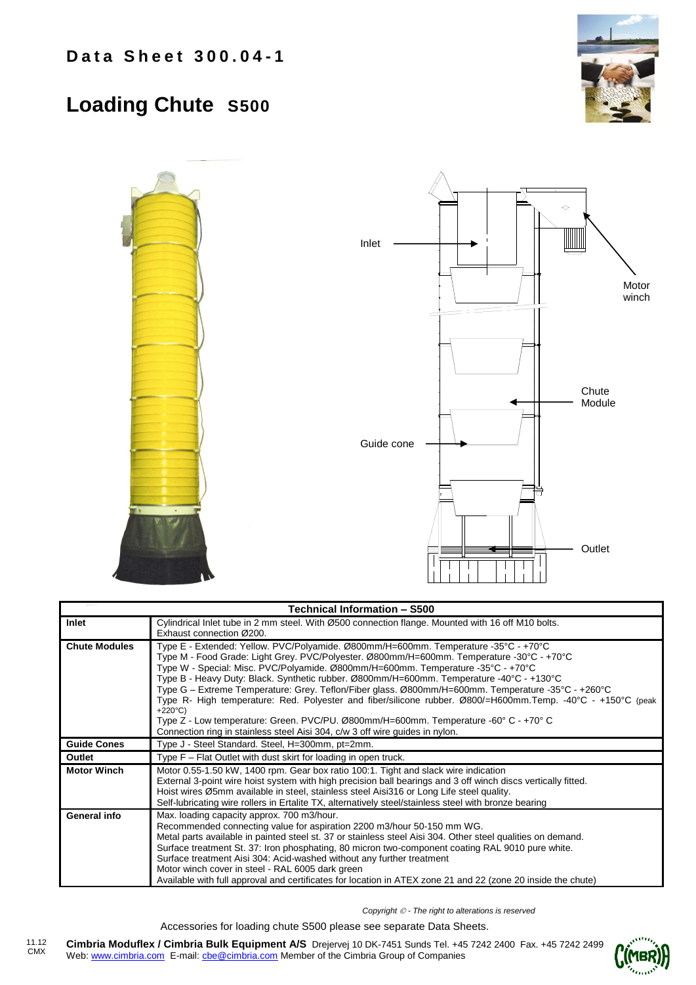## **Loading Chute S500**





| <b>Technical Information - S500</b> |                                                                                                               |  |  |  |  |
|-------------------------------------|---------------------------------------------------------------------------------------------------------------|--|--|--|--|
| Inlet                               | Cylindrical Inlet tube in 2 mm steel. With Ø500 connection flange. Mounted with 16 off M10 bolts.             |  |  |  |  |
|                                     | Exhaust connection Ø200.                                                                                      |  |  |  |  |
| <b>Chute Modules</b>                | Type E - Extended: Yellow. PVC/Polyamide. Ø800mm/H=600mm. Temperature -35°C - +70°C                           |  |  |  |  |
|                                     | Type M - Food Grade: Light Grey. PVC/Polyester. Ø800mm/H=600mm. Temperature -30°C - +70°C                     |  |  |  |  |
|                                     | Type W - Special: Misc. PVC/Polyamide. Ø800mm/H=600mm. Temperature -35°C - +70°C                              |  |  |  |  |
|                                     | Type B - Heavy Duty: Black. Synthetic rubber. Ø800mm/H=600mm. Temperature -40°C - +130°C                      |  |  |  |  |
|                                     | Type G – Extreme Temperature: Grey. Teflon/Fiber glass. Ø800mm/H=600mm. Temperature -35°C - +260°C            |  |  |  |  |
|                                     | Type R- High temperature: Red. Polyester and fiber/silicone rubber. Ø800/=H600mm.Temp. -40°C - +150°C (peak   |  |  |  |  |
|                                     | $+220^{\circ}C$                                                                                               |  |  |  |  |
|                                     | Type Z - Low temperature: Green. PVC/PU. Ø800mm/H=600mm. Temperature -60° C - +70° C                          |  |  |  |  |
|                                     | Connection ring in stainless steel Aisi 304, c/w 3 off wire guides in nylon.                                  |  |  |  |  |
| <b>Guide Cones</b>                  | Type J - Steel Standard. Steel, H=300mm, pt=2mm.                                                              |  |  |  |  |
| Outlet                              | Type F – Flat Outlet with dust skirt for loading in open truck.                                               |  |  |  |  |
| <b>Motor Winch</b>                  | Motor 0.55-1.50 kW, 1400 rpm. Gear box ratio 100:1. Tight and slack wire indication                           |  |  |  |  |
|                                     | External 3-point wire hoist system with high precision ball bearings and 3 off winch discs vertically fitted. |  |  |  |  |
|                                     | Hoist wires Ø5mm available in steel, stainless steel Aisi316 or Long Life steel quality.                      |  |  |  |  |
|                                     | Self-lubricating wire rollers in Ertalite TX, alternatively steel/stainless steel with bronze bearing         |  |  |  |  |
| General info                        | Max. loading capacity approx. 700 m3/hour.                                                                    |  |  |  |  |
|                                     | Recommended connecting value for aspiration 2200 m3/hour 50-150 mm WG.                                        |  |  |  |  |
|                                     | Metal parts available in painted steel st. 37 or stainless steel Aisi 304. Other steel qualities on demand.   |  |  |  |  |
|                                     | Surface treatment St. 37: Iron phosphating, 80 micron two-component coating RAL 9010 pure white.              |  |  |  |  |
|                                     | Surface treatment Aisi 304: Acid-washed without any further treatment                                         |  |  |  |  |
|                                     | Motor winch cover in steel - RAL 6005 dark green                                                              |  |  |  |  |
|                                     | Available with full approval and certificates for location in ATEX zone 21 and 22 (zone 20 inside the chute)  |  |  |  |  |

*Copyright - The right to alterations is reserved*

Accessories for loading chute S500 please see separate Data Sheets.